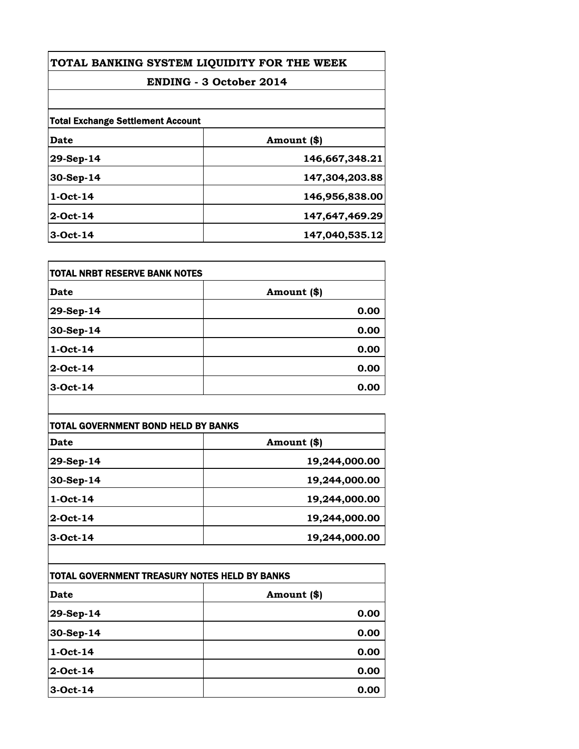| TOTAL BANKING SYSTEM LIQUIDITY FOR THE WEEK<br><b>ENDING - 3 October 2014</b> |                |                                          |             |
|-------------------------------------------------------------------------------|----------------|------------------------------------------|-------------|
|                                                                               |                | <b>Total Exchange Settlement Account</b> |             |
|                                                                               |                | Date                                     | Amount (\$) |
| 29-Sep-14                                                                     | 146,667,348.21 |                                          |             |
| 30-Sep-14                                                                     | 147,304,203.88 |                                          |             |
| $1-Oct-14$                                                                    | 146,956,838.00 |                                          |             |
| $2-Oct-14$                                                                    | 147,647,469.29 |                                          |             |
| $3-Oct-14$                                                                    | 147,040,535.12 |                                          |             |

| <b>TOTAL NRBT RESERVE BANK NOTES</b> |             |
|--------------------------------------|-------------|
| <b>Date</b>                          | Amount (\$) |
| 29-Sep-14                            | 0.00        |
| 30-Sep-14                            | 0.00        |
| 1-Oct-14                             | 0.00        |
| $2-Oct-14$                           | 0.00        |
| $3-0ct-14$                           | 0.00        |

| <b>TOTAL GOVERNMENT BOND HELD BY BANKS</b> |               |
|--------------------------------------------|---------------|
| Date                                       | Amount (\$)   |
| 29-Sep-14                                  | 19,244,000.00 |
| 30-Sep-14                                  | 19,244,000.00 |
| $1-Oct-14$                                 | 19,244,000.00 |
| 2-Oct-14                                   | 19,244,000.00 |
| 3-Oct-14                                   | 19,244,000.00 |

| TOTAL GOVERNMENT TREASURY NOTES HELD BY BANKS |             |
|-----------------------------------------------|-------------|
| <b>Date</b>                                   | Amount (\$) |
| 29-Sep-14                                     | 0.00        |
| 30-Sep-14                                     | 0.00        |
| $1-Oct-14$                                    | 0.00        |
| $2-Oct-14$                                    | 0.00        |
| 3-Oct-14                                      | 0.00        |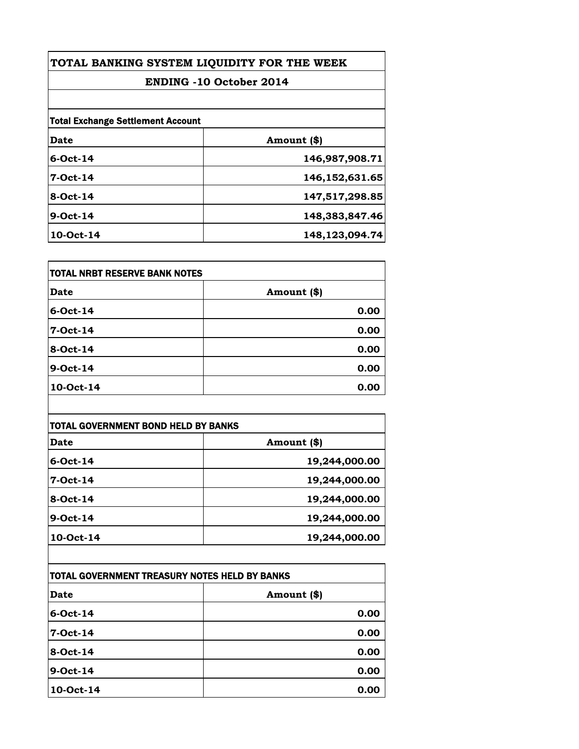| TOTAL BANKING SYSTEM LIQUIDITY FOR THE WEEK<br><b>ENDING -10 October 2014</b> |                |                                          |             |
|-------------------------------------------------------------------------------|----------------|------------------------------------------|-------------|
|                                                                               |                | <b>Total Exchange Settlement Account</b> |             |
|                                                                               |                | Date                                     | Amount (\$) |
| $6$ -Oct-14                                                                   | 146,987,908.71 |                                          |             |
| $7 - Oct - 14$                                                                | 146,152,631.65 |                                          |             |
| $8-Oct-14$                                                                    | 147,517,298.85 |                                          |             |
| $9-Oct-14$                                                                    | 148,383,847.46 |                                          |             |
| 10-Oct-14                                                                     | 148,123,094.74 |                                          |             |

| <b>TOTAL NRBT RESERVE BANK NOTES</b> |             |
|--------------------------------------|-------------|
| <b>Date</b>                          | Amount (\$) |
| 6-Oct-14                             | 0.00        |
| 7-Oct-14                             | 0.00        |
| 8-Oct-14                             | 0.00        |
| 9-Oct-14                             | 0.00        |
| 10-Oct-14                            | 0.00        |

| TOTAL GOVERNMENT BOND HELD BY BANKS |               |
|-------------------------------------|---------------|
| Date                                | Amount (\$)   |
| $6$ -Oct-14                         | 19,244,000.00 |
| $7-Oct-14$                          | 19,244,000.00 |
| 8-Oct-14                            | 19,244,000.00 |
| $9-Oct-14$                          | 19,244,000.00 |
| 10-Oct-14                           | 19,244,000.00 |

| TOTAL GOVERNMENT TREASURY NOTES HELD BY BANKS |              |
|-----------------------------------------------|--------------|
| <b>Date</b>                                   | Amount $(*)$ |
| 6-Oct-14                                      | 0.00         |
| 7-Oct-14                                      | 0.00         |
| 8-Oct-14                                      | 0.00         |
| 9-Oct-14                                      | 0.00         |
| 10-Oct-14                                     | 0.00         |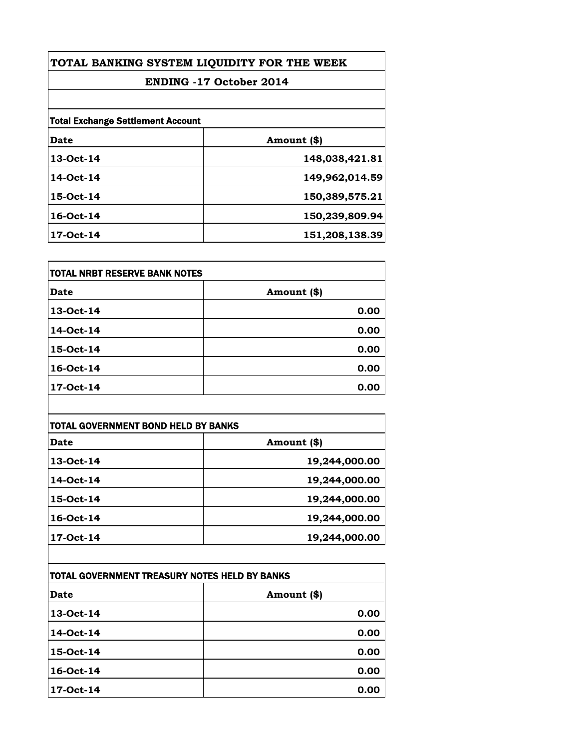| TOTAL BANKING SYSTEM LIQUIDITY FOR THE WEEK<br><b>ENDING -17 October 2014</b> |                |                                          |             |
|-------------------------------------------------------------------------------|----------------|------------------------------------------|-------------|
|                                                                               |                | <b>Total Exchange Settlement Account</b> |             |
|                                                                               |                | Date                                     | Amount (\$) |
| 13-Oct-14                                                                     | 148,038,421.81 |                                          |             |
| 14-Oct-14                                                                     | 149,962,014.59 |                                          |             |
| 15-Oct-14                                                                     | 150,389,575.21 |                                          |             |
| 16-Oct-14                                                                     | 150,239,809.94 |                                          |             |
| 17-Oct-14                                                                     | 151,208,138.39 |                                          |             |

| TOTAL NRBT RESERVE BANK NOTES |             |
|-------------------------------|-------------|
| Date                          | Amount (\$) |
| 13-Oct-14                     | 0.00        |
| 14-Oct-14                     | 0.00        |
| 15-Oct-14                     | 0.00        |
| 16-Oct-14                     | 0.00        |
| 17-Oct-14                     | 0.00        |

| TOTAL GOVERNMENT BOND HELD BY BANKS |               |
|-------------------------------------|---------------|
| Date                                | Amount (\$)   |
| 13-Oct-14                           | 19,244,000.00 |
| 14-Oct-14                           | 19,244,000.00 |
| 15-Oct-14                           | 19,244,000.00 |
| 16-Oct-14                           | 19,244,000.00 |
| 17-Oct-14                           | 19,244,000.00 |

| TOTAL GOVERNMENT TREASURY NOTES HELD BY BANKS |              |
|-----------------------------------------------|--------------|
| <b>Date</b>                                   | Amount $(*)$ |
| 13-Oct-14                                     | 0.00         |
| 14-Oct-14                                     | 0.00         |
| 15-Oct-14                                     | 0.00         |
| 16-Oct-14                                     | 0.00         |
| 17-Oct-14                                     | 0.00         |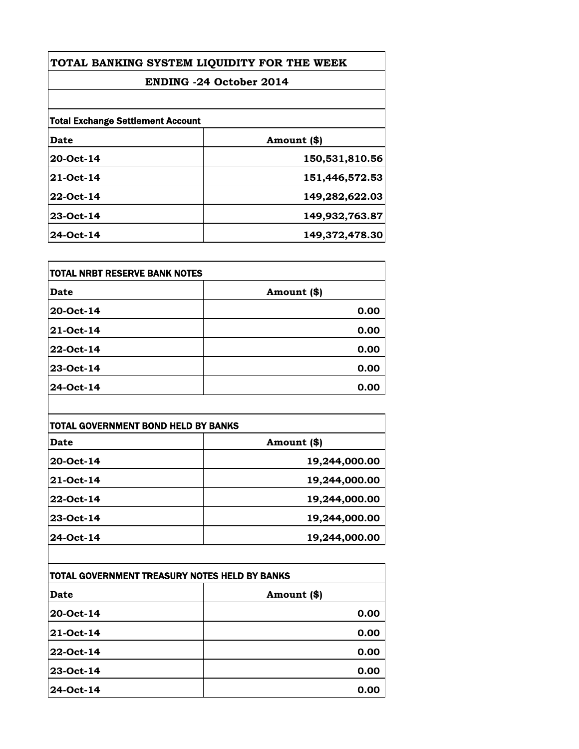| TOTAL BANKING SYSTEM LIQUIDITY FOR THE WEEK |                |  |
|---------------------------------------------|----------------|--|
| <b>ENDING -24 October 2014</b>              |                |  |
|                                             |                |  |
| Date                                        | Amount (\$)    |  |
| 20-Oct-14                                   | 150,531,810.56 |  |
| 21-Oct-14                                   | 151,446,572.53 |  |
| 22-Oct-14                                   | 149,282,622.03 |  |
| $23-Oct-14$                                 | 149,932,763.87 |  |
| 24-Oct-14                                   | 149,372,478.30 |  |

| TOTAL NRBT RESERVE BANK NOTES |             |
|-------------------------------|-------------|
| Date                          | Amount (\$) |
| 20-Oct-14                     | 0.00        |
| 21-Oct-14                     | 0.00        |
| 22-Oct-14                     | 0.00        |
| 23-Oct-14                     | 0.00        |
| 24-Oct-14                     | 0.00        |

| TOTAL GOVERNMENT BOND HELD BY BANKS |               |
|-------------------------------------|---------------|
| Date                                | Amount (\$)   |
| 20-Oct-14                           | 19,244,000.00 |
| 21-Oct-14                           | 19,244,000.00 |
| 22-Oct-14                           | 19,244,000.00 |
| 23-Oct-14                           | 19,244,000.00 |
| 24-Oct-14                           | 19,244,000.00 |

| TOTAL GOVERNMENT TREASURY NOTES HELD BY BANKS |             |
|-----------------------------------------------|-------------|
| <b>Date</b>                                   | Amount (\$) |
| 20-Oct-14                                     | 0.00        |
| <b>21-Oct-14</b>                              | 0.00        |
| 22-Oct-14                                     | 0.00        |
| 23-Oct-14                                     | 0.00        |
| 24-Oct-14                                     | 0.00        |